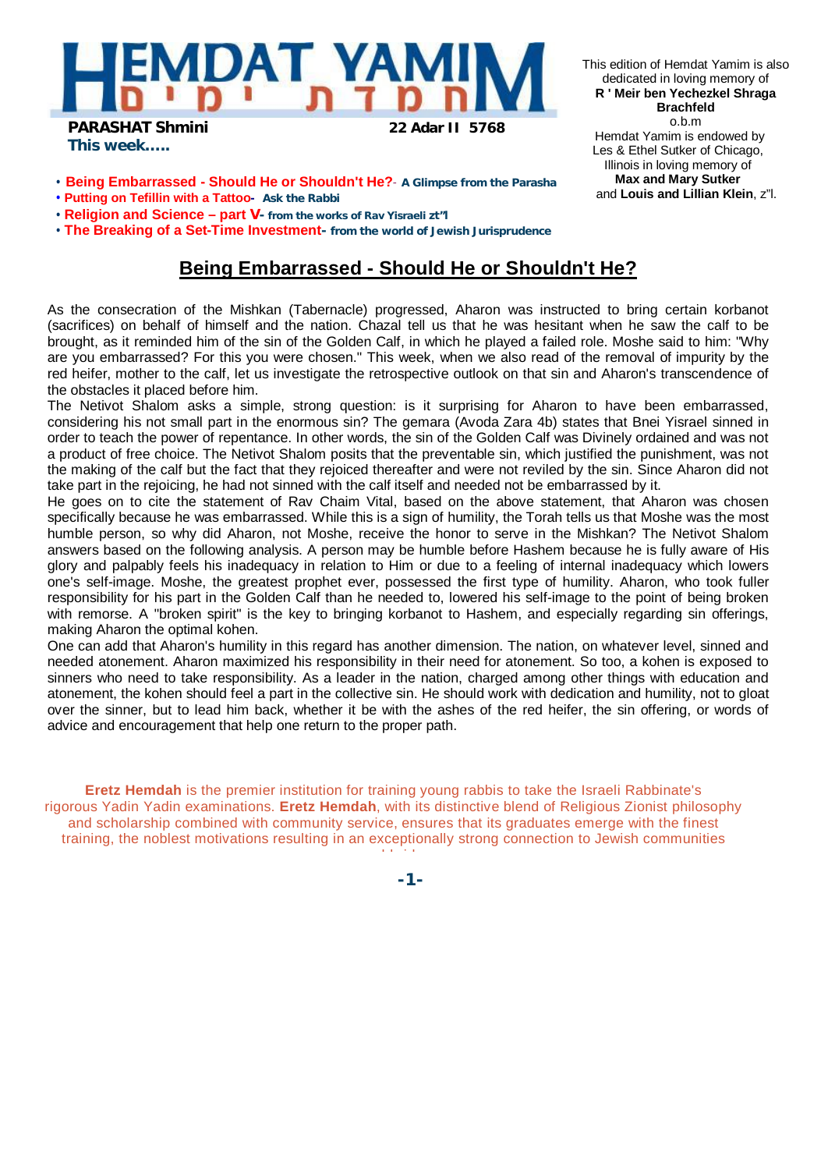

*This week…..*

This edition of Hemdat Yamim is also dedicated in loving memory of **R ' Meir ben Yechezkel Shraga Brachfeld** o.b.m Hemdat Yamim is endowed by Les & Ethel Sutker of Chicago, Illinois in loving memory of **Max and Mary Sutker** and **Louis and Lillian Klein**, z"l.

- **Being Embarrassed - Should He or Shouldn't He? A Glimpse from the Parasha**
- **Putting on Tefillin with a Tattoo- Ask the Rabbi**
- **Religion and Science – part V- from the works of Rav Yisraeli zt"l**

• **The Breaking of a Set-Time Investment- from the world of Jewish Jurisprudence** 

## **Being Embarrassed - Should He or Shouldn't He?**

As the consecration of the Mishkan (Tabernacle) progressed, Aharon was instructed to bring certain korbanot (sacrifices) on behalf of himself and the nation. Chazal tell us that he was hesitant when he saw the calf to be brought, as it reminded him of the sin of the Golden Calf, in which he played a failed role. Moshe said to him: "Why are you embarrassed? For this you were chosen." This week, when we also read of the removal of impurity by the red heifer, mother to the calf, let us investigate the retrospective outlook on that sin and Aharon's transcendence of the obstacles it placed before him.

The Netivot Shalom asks a simple, strong question: is it surprising for Aharon to have been embarrassed, considering his not small part in the enormous sin? The gemara (Avoda Zara 4b) states that Bnei Yisrael sinned in order to teach the power of repentance. In other words, the sin of the Golden Calf was Divinely ordained and was not a product of free choice. The Netivot Shalom posits that the preventable sin, which justified the punishment, was not the making of the calf but the fact that they rejoiced thereafter and were not reviled by the sin. Since Aharon did not take part in the rejoicing, he had not sinned with the calf itself and needed not be embarrassed by it.

He goes on to cite the statement of Rav Chaim Vital, based on the above statement, that Aharon was chosen specifically because he was embarrassed. While this is a sign of humility, the Torah tells us that Moshe was the most humble person, so why did Aharon, not Moshe, receive the honor to serve in the Mishkan? The Netivot Shalom answers based on the following analysis. A person may be humble before Hashem because he is fully aware of His glory and palpably feels his inadequacy in relation to Him or due to a feeling of internal inadequacy which lowers one's self-image. Moshe, the greatest prophet ever, possessed the first type of humility. Aharon, who took fuller responsibility for his part in the Golden Calf than he needed to, lowered his self-image to the point of being broken with remorse. A "broken spirit" is the key to bringing korbanot to Hashem, and especially regarding sin offerings, making Aharon the optimal kohen.

One can add that Aharon's humility in this regard has another dimension. The nation, on whatever level, sinned and needed atonement. Aharon maximized his responsibility in their need for atonement. So too, a kohen is exposed to sinners who need to take responsibility. As a leader in the nation, charged among other things with education and atonement, the kohen should feel a part in the collective sin. He should work with dedication and humility, not to gloat over the sinner, but to lead him back, whether it be with the ashes of the red heifer, the sin offering, or words of advice and encouragement that help one return to the proper path.

**Eretz Hemdah** is the premier institution for training young rabbis to take the Israeli Rabbinate's rigorous Yadin Yadin examinations. **Eretz Hemdah**, with its distinctive blend of Religious Zionist philosophy and scholarship combined with community service, ensures that its graduates emerge with the finest training, the noblest motivations resulting in an exceptionally strong connection to Jewish communities

worldwide.

**-1-**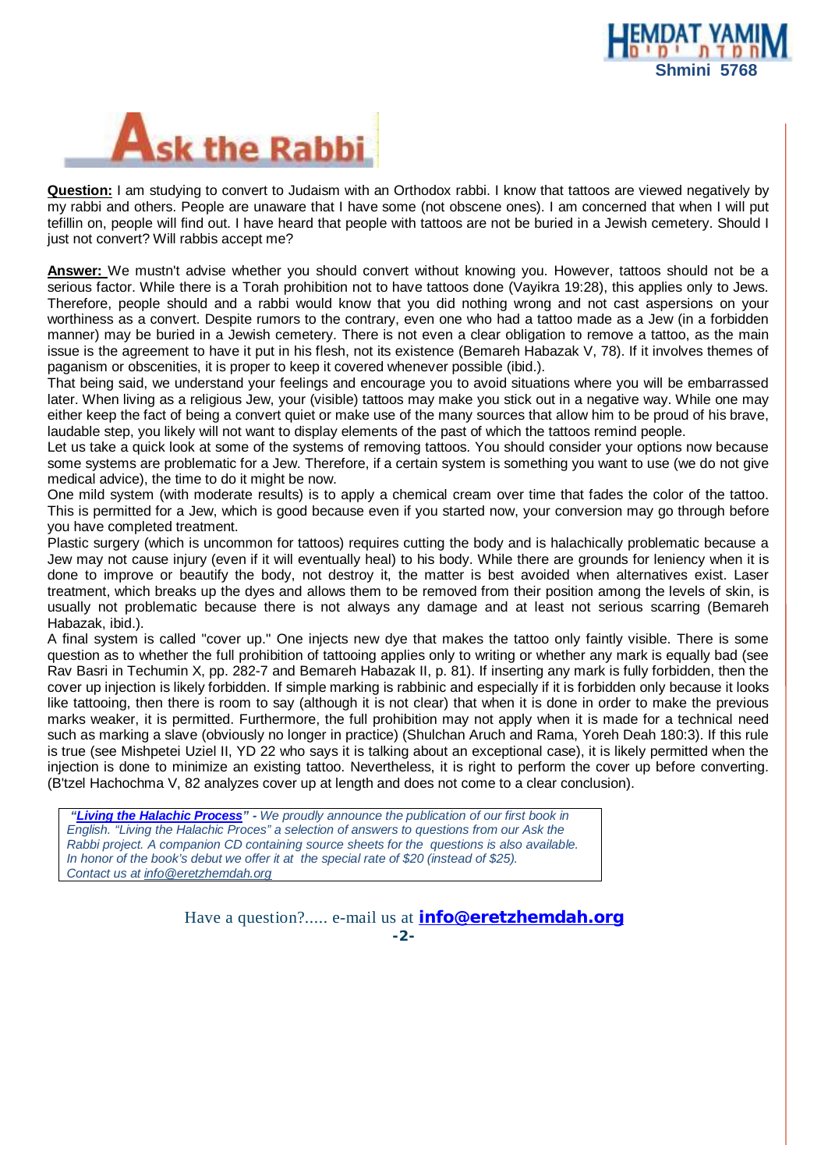



**Question:** I am studying to convert to Judaism with an Orthodox rabbi. I know that tattoos are viewed negatively by my rabbi and others. People are unaware that I have some (not obscene ones). I am concerned that when I will put tefillin on, people will find out. I have heard that people with tattoos are not be buried in a Jewish cemetery. Should I just not convert? Will rabbis accept me?

**Answer:** We mustn't advise whether you should convert without knowing you. However, tattoos should not be a serious factor. While there is a Torah prohibition not to have tattoos done (Vayikra 19:28), this applies only to Jews. Therefore, people should and a rabbi would know that you did nothing wrong and not cast aspersions on your worthiness as a convert. Despite rumors to the contrary, even one who had a tattoo made as a Jew (in a forbidden manner) may be buried in a Jewish cemetery. There is not even a clear obligation to remove a tattoo, as the main issue is the agreement to have it put in his flesh, not its existence (Bemareh Habazak V, 78). If it involves themes of paganism or obscenities, it is proper to keep it covered whenever possible (ibid.).

That being said, we understand your feelings and encourage you to avoid situations where you will be embarrassed later. When living as a religious Jew, your (visible) tattoos may make you stick out in a negative way. While one may either keep the fact of being a convert quiet or make use of the many sources that allow him to be proud of his brave, laudable step, you likely will not want to display elements of the past of which the tattoos remind people.

Let us take a quick look at some of the systems of removing tattoos. You should consider your options now because some systems are problematic for a Jew. Therefore, if a certain system is something you want to use (we do not give medical advice), the time to do it might be now.

One mild system (with moderate results) is to apply a chemical cream over time that fades the color of the tattoo. This is permitted for a Jew, which is good because even if you started now, your conversion may go through before you have completed treatment.

Plastic surgery (which is uncommon for tattoos) requires cutting the body and is halachically problematic because a Jew may not cause injury (even if it will eventually heal) to his body. While there are grounds for leniency when it is done to improve or beautify the body, not destroy it, the matter is best avoided when alternatives exist. Laser treatment, which breaks up the dyes and allows them to be removed from their position among the levels of skin, is usually not problematic because there is not always any damage and at least not serious scarring (Bemareh Habazak, ibid.).

A final system is called "cover up." One injects new dye that makes the tattoo only faintly visible. There is some question as to whether the full prohibition of tattooing applies only to writing or whether any mark is equally bad (see Rav Basri in Techumin X, pp. 282-7 and Bemareh Habazak II, p. 81). If inserting any mark is fully forbidden, then the cover up injection is likely forbidden. If simple marking is rabbinic and especially if it is forbidden only because it looks like tattooing, then there is room to say (although it is not clear) that when it is done in order to make the previous marks weaker, it is permitted. Furthermore, the full prohibition may not apply when it is made for a technical need such as marking a slave (obviously no longer in practice) (Shulchan Aruch and Rama, Yoreh Deah 180:3). If this rule is true (see Mishpetei Uziel II, YD 22 who says it is talking about an exceptional case), it is likely permitted when the injection is done to minimize an existing tattoo. Nevertheless, it is right to perform the cover up before converting. (B'tzel Hachochma V, 82 analyzes cover up at length and does not come to a clear conclusion).

 *"Living the Halachic Process" - We proudly announce the publication of our first book in English. "Living the Halachic Proces" a selection of answers to questions from our Ask the Rabbi project. A companion CD containing source sheets for the questions is also available. In honor of the book's debut we offer it at the special rate of \$20 (instead of \$25). Contact us at [info@eretzhemdah.org](mailto:info@eretzhemdah.org)*

> Have a question?..... e-mail us at **[info@eretzhemdah.org](mailto:info@eretzhemdah.org) -2-**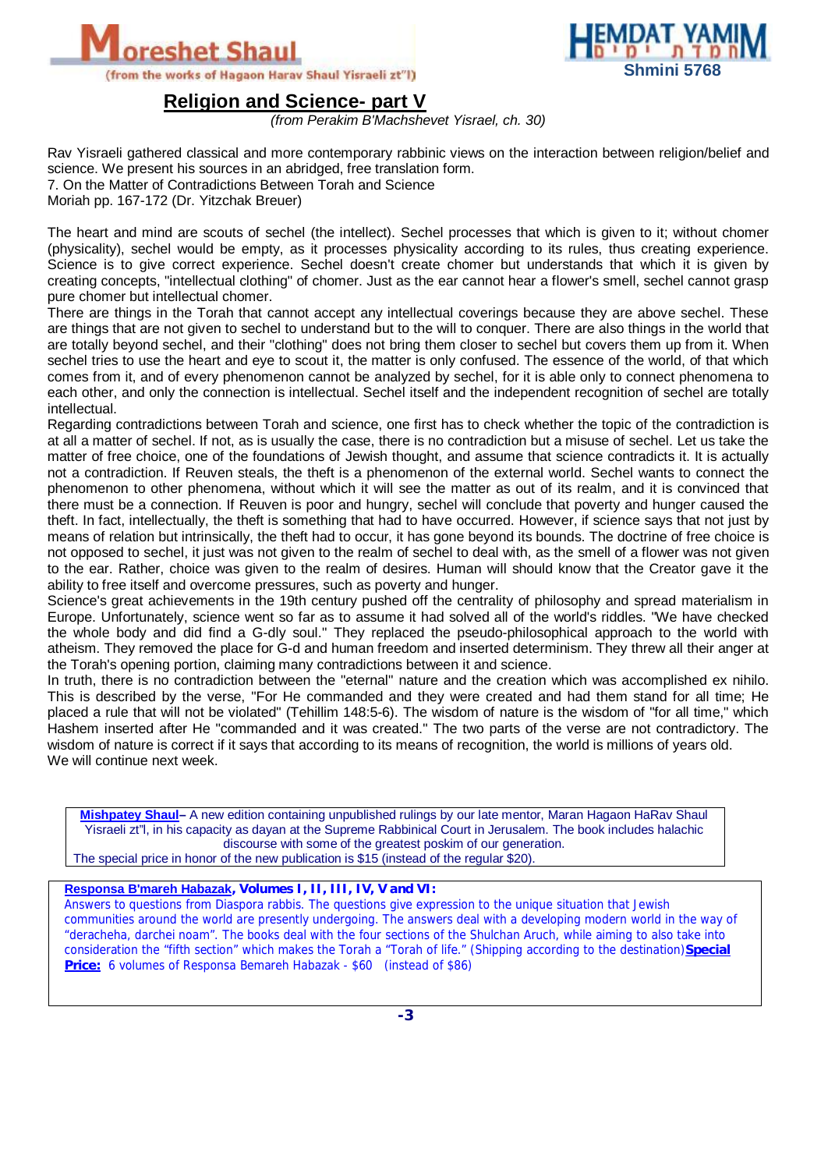



**Religion and Science- part V**

*(from Perakim B'Machshevet Yisrael, ch. 30)* 

Rav Yisraeli gathered classical and more contemporary rabbinic views on the interaction between religion/belief and science. We present his sources in an abridged, free translation form. 7. On the Matter of Contradictions Between Torah and Science Moriah pp. 167-172 (Dr. Yitzchak Breuer)

The heart and mind are scouts of sechel (the intellect). Sechel processes that which is given to it; without chomer (physicality), sechel would be empty, as it processes physicality according to its rules, thus creating experience. Science is to give correct experience. Sechel doesn't create chomer but understands that which it is given by creating concepts, "intellectual clothing" of chomer. Just as the ear cannot hear a flower's smell, sechel cannot grasp pure chomer but intellectual chomer.

There are things in the Torah that cannot accept any intellectual coverings because they are above sechel. These are things that are not given to sechel to understand but to the will to conquer. There are also things in the world that are totally beyond sechel, and their "clothing" does not bring them closer to sechel but covers them up from it. When sechel tries to use the heart and eye to scout it, the matter is only confused. The essence of the world, of that which comes from it, and of every phenomenon cannot be analyzed by sechel, for it is able only to connect phenomena to each other, and only the connection is intellectual. Sechel itself and the independent recognition of sechel are totally intellectual.

Regarding contradictions between Torah and science, one first has to check whether the topic of the contradiction is at all a matter of sechel. If not, as is usually the case, there is no contradiction but a misuse of sechel. Let us take the matter of free choice, one of the foundations of Jewish thought, and assume that science contradicts it. It is actually not a contradiction. If Reuven steals, the theft is a phenomenon of the external world. Sechel wants to connect the phenomenon to other phenomena, without which it will see the matter as out of its realm, and it is convinced that there must be a connection. If Reuven is poor and hungry, sechel will conclude that poverty and hunger caused the theft. In fact, intellectually, the theft is something that had to have occurred. However, if science says that not just by means of relation but intrinsically, the theft had to occur, it has gone beyond its bounds. The doctrine of free choice is not opposed to sechel, it just was not given to the realm of sechel to deal with, as the smell of a flower was not given to the ear. Rather, choice was given to the realm of desires. Human will should know that the Creator gave it the ability to free itself and overcome pressures, such as poverty and hunger.

Science's great achievements in the 19th century pushed off the centrality of philosophy and spread materialism in Europe. Unfortunately, science went so far as to assume it had solved all of the world's riddles. "We have checked the whole body and did find a G-dly soul." They replaced the pseudo-philosophical approach to the world with atheism. They removed the place for G-d and human freedom and inserted determinism. They threw all their anger at the Torah's opening portion, claiming many contradictions between it and science.

In truth, there is no contradiction between the "eternal" nature and the creation which was accomplished ex nihilo. This is described by the verse, "For He commanded and they were created and had them stand for all time; He placed a rule that will not be violated" (Tehillim 148:5-6). The wisdom of nature is the wisdom of "for all time," which Hashem inserted after He "commanded and it was created." The two parts of the verse are not contradictory. The wisdom of nature is correct if it says that according to its means of recognition, the world is millions of years old. We will continue next week.

**Mishpatey Shaul–** A new edition containing unpublished rulings by our late mentor, Maran Hagaon HaRav Shaul Yisraeli zt"l, in his capacity as dayan at the Supreme Rabbinical Court in Jerusalem. The book includes halachic discourse with some of the greatest poskim of our generation. The special price in honor of the new publication is \$15 (instead of the regular \$20).

## **Responsa B'mareh Habazak***, Volumes I, II, III, IV, V and VI:*

Answers to questions from Diaspora rabbis. The questions give expression to the unique situation that Jewish communities around the world are presently undergoing. The answers deal with a developing modern world in the way of "deracheha, darchei noam". The books deal with the four sections of the Shulchan Aruch, while aiming to also take into consideration the "fifth section" which makes the Torah a "Torah of life." (Shipping according to the destination)**Special Price:** 6 volumes of Responsa Bemareh Habazak - \$60 (instead of \$86)